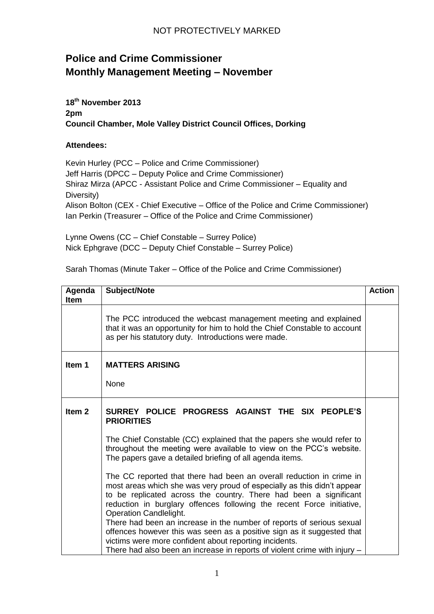## NOT PROTECTIVELY MARKED

## **Police and Crime Commissioner Monthly Management Meeting – November**

**18th November 2013 2pm Council Chamber, Mole Valley District Council Offices, Dorking**

## **Attendees:**

Kevin Hurley (PCC – Police and Crime Commissioner) Jeff Harris (DPCC – Deputy Police and Crime Commissioner) Shiraz Mirza (APCC - Assistant Police and Crime Commissioner – Equality and Diversity) Alison Bolton (CEX - Chief Executive – Office of the Police and Crime Commissioner) Ian Perkin (Treasurer – Office of the Police and Crime Commissioner)

Lynne Owens (CC – Chief Constable – Surrey Police) Nick Ephgrave (DCC – Deputy Chief Constable – Surrey Police)

Sarah Thomas (Minute Taker – Office of the Police and Crime Commissioner)

| Agenda<br><b>Item</b> | Subject/Note                                                                                                                                                                                                                                                                                                                   | <b>Action</b> |
|-----------------------|--------------------------------------------------------------------------------------------------------------------------------------------------------------------------------------------------------------------------------------------------------------------------------------------------------------------------------|---------------|
|                       | The PCC introduced the webcast management meeting and explained<br>that it was an opportunity for him to hold the Chief Constable to account<br>as per his statutory duty. Introductions were made.                                                                                                                            |               |
| Item 1                | <b>MATTERS ARISING</b>                                                                                                                                                                                                                                                                                                         |               |
|                       | <b>None</b>                                                                                                                                                                                                                                                                                                                    |               |
| Item <sub>2</sub>     | SURREY POLICE PROGRESS AGAINST THE SIX PEOPLE'S<br><b>PRIORITIES</b>                                                                                                                                                                                                                                                           |               |
|                       | The Chief Constable (CC) explained that the papers she would refer to<br>throughout the meeting were available to view on the PCC's website.<br>The papers gave a detailed briefing of all agenda items.                                                                                                                       |               |
|                       | The CC reported that there had been an overall reduction in crime in<br>most areas which she was very proud of especially as this didn't appear<br>to be replicated across the country. There had been a significant<br>reduction in burglary offences following the recent Force initiative,<br><b>Operation Candlelight.</b> |               |
|                       | There had been an increase in the number of reports of serious sexual<br>offences however this was seen as a positive sign as it suggested that<br>victims were more confident about reporting incidents.<br>There had also been an increase in reports of violent crime with injury -                                         |               |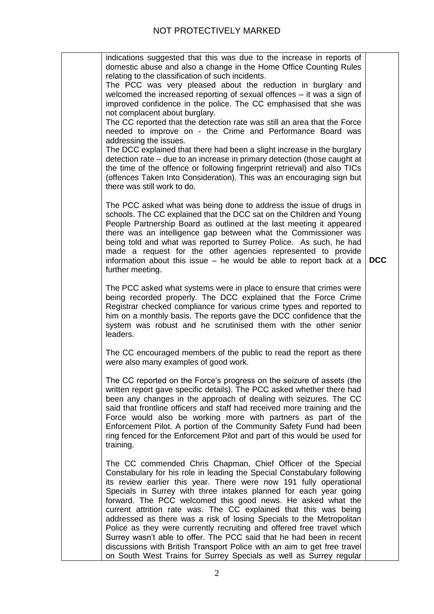|            | indications suggested that this was due to the increase in reports of<br>domestic abuse and also a change in the Home Office Counting Rules<br>relating to the classification of such incidents.<br>The PCC was very pleased about the reduction in burglary and<br>welcomed the increased reporting of sexual offences $-$ it was a sign of<br>improved confidence in the police. The CC emphasised that she was<br>not complacent about burglary.<br>The CC reported that the detection rate was still an area that the Force<br>needed to improve on - the Crime and Performance Board was<br>addressing the issues.<br>The DCC explained that there had been a slight increase in the burglary<br>detection rate – due to an increase in primary detection (those caught at<br>the time of the offence or following fingerprint retrieval) and also TICs<br>(offences Taken Into Consideration). This was an encouraging sign but<br>there was still work to do. |
|------------|----------------------------------------------------------------------------------------------------------------------------------------------------------------------------------------------------------------------------------------------------------------------------------------------------------------------------------------------------------------------------------------------------------------------------------------------------------------------------------------------------------------------------------------------------------------------------------------------------------------------------------------------------------------------------------------------------------------------------------------------------------------------------------------------------------------------------------------------------------------------------------------------------------------------------------------------------------------------|
| <b>DCC</b> | The PCC asked what was being done to address the issue of drugs in<br>schools. The CC explained that the DCC sat on the Children and Young<br>People Partnership Board as outlined at the last meeting it appeared<br>there was an intelligence gap between what the Commissioner was<br>being told and what was reported to Surrey Police. As such, he had<br>made a request for the other agencies represented to provide<br>information about this issue - he would be able to report back at a<br>further meeting.                                                                                                                                                                                                                                                                                                                                                                                                                                               |
|            | The PCC asked what systems were in place to ensure that crimes were<br>being recorded properly. The DCC explained that the Force Crime<br>Registrar checked compliance for various crime types and reported to<br>him on a monthly basis. The reports gave the DCC confidence that the<br>system was robust and he scrutinised them with the other senior<br>leaders.                                                                                                                                                                                                                                                                                                                                                                                                                                                                                                                                                                                                |
|            | The CC encouraged members of the public to read the report as there<br>were also many examples of good work.                                                                                                                                                                                                                                                                                                                                                                                                                                                                                                                                                                                                                                                                                                                                                                                                                                                         |
|            | The CC reported on the Force's progress on the seizure of assets (the<br>written report gave specific details). The PCC asked whether there had<br>been any changes in the approach of dealing with seizures. The CC<br>said that frontline officers and staff had received more training and the<br>Force would also be working more with partners as part of the<br>Enforcement Pilot. A portion of the Community Safety Fund had been<br>ring fenced for the Enforcement Pilot and part of this would be used for<br>training.                                                                                                                                                                                                                                                                                                                                                                                                                                    |
|            | The CC commended Chris Chapman, Chief Officer of the Special<br>Constabulary for his role in leading the Special Constabulary following<br>its review earlier this year. There were now 191 fully operational<br>Specials in Surrey with three intakes planned for each year going<br>forward. The PCC welcomed this good news. He asked what the<br>current attrition rate was. The CC explained that this was being<br>addressed as there was a risk of losing Specials to the Metropolitan<br>Police as they were currently recruiting and offered free travel which<br>Surrey wasn't able to offer. The PCC said that he had been in recent<br>discussions with British Transport Police with an aim to get free travel<br>on South West Trains for Surrey Specials as well as Surrey regular                                                                                                                                                                    |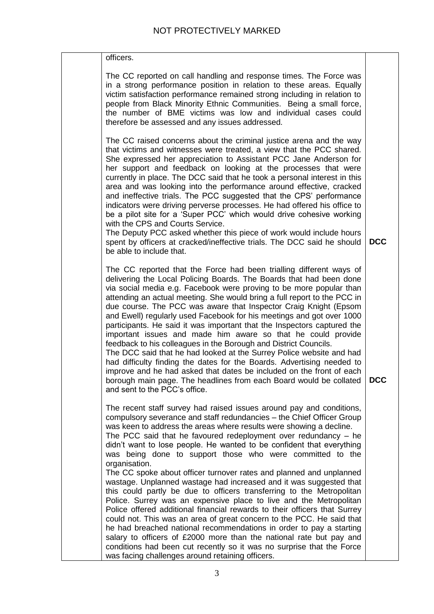| officers.                                                                                                                                                                                                                                                                                                                                                                                                                                                                                                                                                                                                                                                                                                                                                                                                                                                                                                                                                                                  |            |
|--------------------------------------------------------------------------------------------------------------------------------------------------------------------------------------------------------------------------------------------------------------------------------------------------------------------------------------------------------------------------------------------------------------------------------------------------------------------------------------------------------------------------------------------------------------------------------------------------------------------------------------------------------------------------------------------------------------------------------------------------------------------------------------------------------------------------------------------------------------------------------------------------------------------------------------------------------------------------------------------|------------|
| The CC reported on call handling and response times. The Force was<br>in a strong performance position in relation to these areas. Equally<br>victim satisfaction performance remained strong including in relation to<br>people from Black Minority Ethnic Communities. Being a small force,<br>the number of BME victims was low and individual cases could<br>therefore be assessed and any issues addressed.                                                                                                                                                                                                                                                                                                                                                                                                                                                                                                                                                                           |            |
| The CC raised concerns about the criminal justice arena and the way<br>that victims and witnesses were treated, a view that the PCC shared.<br>She expressed her appreciation to Assistant PCC Jane Anderson for<br>her support and feedback on looking at the processes that were<br>currently in place. The DCC said that he took a personal interest in this<br>area and was looking into the performance around effective, cracked<br>and ineffective trials. The PCC suggested that the CPS' performance<br>indicators were driving perverse processes. He had offered his office to<br>be a pilot site for a 'Super PCC' which would drive cohesive working<br>with the CPS and Courts Service.<br>The Deputy PCC asked whether this piece of work would include hours<br>spent by officers at cracked/ineffective trials. The DCC said he should<br>be able to include that.                                                                                                        | <b>DCC</b> |
| The CC reported that the Force had been trialling different ways of<br>delivering the Local Policing Boards. The Boards that had been done<br>via social media e.g. Facebook were proving to be more popular than<br>attending an actual meeting. She would bring a full report to the PCC in<br>due course. The PCC was aware that Inspector Craig Knight (Epsom<br>and Ewell) regularly used Facebook for his meetings and got over 1000<br>participants. He said it was important that the Inspectors captured the<br>important issues and made him aware so that he could provide<br>feedback to his colleagues in the Borough and District Councils.<br>The DCC said that he had looked at the Surrey Police website and had<br>had difficulty finding the dates for the Boards. Advertising needed to<br>improve and he had asked that dates be included on the front of each<br>borough main page. The headlines from each Board would be collated<br>and sent to the PCC's office. | <b>DCC</b> |
| The recent staff survey had raised issues around pay and conditions,<br>compulsory severance and staff redundancies - the Chief Officer Group<br>was keen to address the areas where results were showing a decline.<br>The PCC said that he favoured redeployment over redundancy $-$ he<br>didn't want to lose people. He wanted to be confident that everything<br>was being done to support those who were committed to the<br>organisation.<br>The CC spoke about officer turnover rates and planned and unplanned                                                                                                                                                                                                                                                                                                                                                                                                                                                                    |            |
| wastage. Unplanned wastage had increased and it was suggested that<br>this could partly be due to officers transferring to the Metropolitan<br>Police. Surrey was an expensive place to live and the Metropolitan<br>Police offered additional financial rewards to their officers that Surrey<br>could not. This was an area of great concern to the PCC. He said that<br>he had breached national recommendations in order to pay a starting<br>salary to officers of £2000 more than the national rate but pay and<br>conditions had been cut recently so it was no surprise that the Force<br>was facing challenges around retaining officers.                                                                                                                                                                                                                                                                                                                                         |            |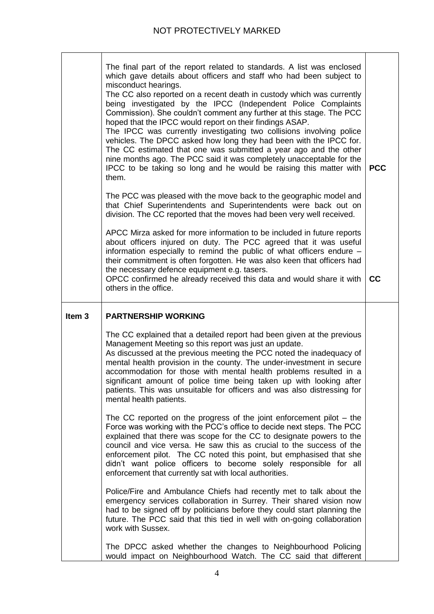|                   | The final part of the report related to standards. A list was enclosed<br>which gave details about officers and staff who had been subject to<br>misconduct hearings.<br>The CC also reported on a recent death in custody which was currently<br>being investigated by the IPCC (Independent Police Complaints<br>Commission). She couldn't comment any further at this stage. The PCC<br>hoped that the IPCC would report on their findings ASAP.<br>The IPCC was currently investigating two collisions involving police<br>vehicles. The DPCC asked how long they had been with the IPCC for.<br>The CC estimated that one was submitted a year ago and the other<br>nine months ago. The PCC said it was completely unacceptable for the<br>IPCC to be taking so long and he would be raising this matter with<br>them. | <b>PCC</b> |
|-------------------|------------------------------------------------------------------------------------------------------------------------------------------------------------------------------------------------------------------------------------------------------------------------------------------------------------------------------------------------------------------------------------------------------------------------------------------------------------------------------------------------------------------------------------------------------------------------------------------------------------------------------------------------------------------------------------------------------------------------------------------------------------------------------------------------------------------------------|------------|
|                   | The PCC was pleased with the move back to the geographic model and<br>that Chief Superintendents and Superintendents were back out on<br>division. The CC reported that the moves had been very well received.                                                                                                                                                                                                                                                                                                                                                                                                                                                                                                                                                                                                               |            |
|                   | APCC Mirza asked for more information to be included in future reports<br>about officers injured on duty. The PCC agreed that it was useful<br>information especially to remind the public of what officers endure -<br>their commitment is often forgotten. He was also keen that officers had<br>the necessary defence equipment e.g. tasers.<br>OPCC confirmed he already received this data and would share it with<br>others in the office.                                                                                                                                                                                                                                                                                                                                                                             | cc         |
| Item <sub>3</sub> | <b>PARTNERSHIP WORKING</b>                                                                                                                                                                                                                                                                                                                                                                                                                                                                                                                                                                                                                                                                                                                                                                                                   |            |
|                   |                                                                                                                                                                                                                                                                                                                                                                                                                                                                                                                                                                                                                                                                                                                                                                                                                              |            |
|                   | The CC explained that a detailed report had been given at the previous<br>Management Meeting so this report was just an update.<br>As discussed at the previous meeting the PCC noted the inadequacy of<br>mental health provision in the county. The under-investment in secure<br>accommodation for those with mental health problems resulted in a<br>significant amount of police time being taken up with looking after<br>patients. This was unsuitable for officers and was also distressing for<br>mental health patients.                                                                                                                                                                                                                                                                                           |            |
|                   | The CC reported on the progress of the joint enforcement pilot $-$ the<br>Force was working with the PCC's office to decide next steps. The PCC<br>explained that there was scope for the CC to designate powers to the<br>council and vice versa. He saw this as crucial to the success of the<br>enforcement pilot. The CC noted this point, but emphasised that she<br>didn't want police officers to become solely responsible for all<br>enforcement that currently sat with local authorities.                                                                                                                                                                                                                                                                                                                         |            |
|                   | Police/Fire and Ambulance Chiefs had recently met to talk about the<br>emergency services collaboration in Surrey. Their shared vision now<br>had to be signed off by politicians before they could start planning the<br>future. The PCC said that this tied in well with on-going collaboration<br>work with Sussex.                                                                                                                                                                                                                                                                                                                                                                                                                                                                                                       |            |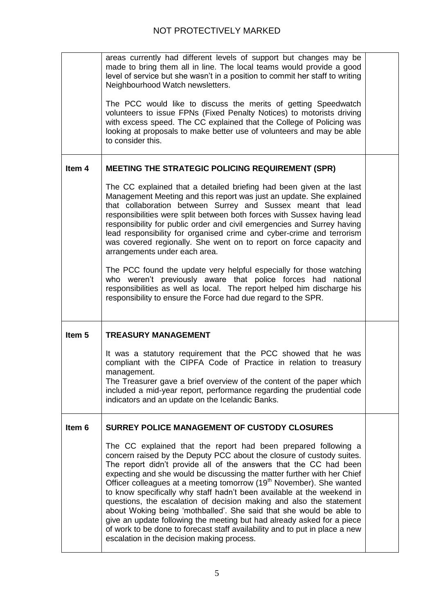|                   | areas currently had different levels of support but changes may be<br>made to bring them all in line. The local teams would provide a good<br>level of service but she wasn't in a position to commit her staff to writing<br>Neighbourhood Watch newsletters.<br>The PCC would like to discuss the merits of getting Speedwatch<br>volunteers to issue FPNs (Fixed Penalty Notices) to motorists driving<br>with excess speed. The CC explained that the College of Policing was<br>looking at proposals to make better use of volunteers and may be able<br>to consider this.                                                                                                                                                                                      |  |
|-------------------|----------------------------------------------------------------------------------------------------------------------------------------------------------------------------------------------------------------------------------------------------------------------------------------------------------------------------------------------------------------------------------------------------------------------------------------------------------------------------------------------------------------------------------------------------------------------------------------------------------------------------------------------------------------------------------------------------------------------------------------------------------------------|--|
| Item 4            | <b>MEETING THE STRATEGIC POLICING REQUIREMENT (SPR)</b>                                                                                                                                                                                                                                                                                                                                                                                                                                                                                                                                                                                                                                                                                                              |  |
|                   | The CC explained that a detailed briefing had been given at the last<br>Management Meeting and this report was just an update. She explained<br>that collaboration between Surrey and Sussex meant that lead<br>responsibilities were split between both forces with Sussex having lead<br>responsibility for public order and civil emergencies and Surrey having<br>lead responsibility for organised crime and cyber-crime and terrorism<br>was covered regionally. She went on to report on force capacity and<br>arrangements under each area.<br>The PCC found the update very helpful especially for those watching<br>who weren't previously aware that police forces had national<br>responsibilities as well as local. The report helped him discharge his |  |
|                   | responsibility to ensure the Force had due regard to the SPR.                                                                                                                                                                                                                                                                                                                                                                                                                                                                                                                                                                                                                                                                                                        |  |
| Item <sub>5</sub> | <b>TREASURY MANAGEMENT</b>                                                                                                                                                                                                                                                                                                                                                                                                                                                                                                                                                                                                                                                                                                                                           |  |
|                   | It was a statutory requirement that the PCC showed that he was<br>compliant with the CIPFA Code of Practice in relation to treasury<br>management.<br>The Treasurer gave a brief overview of the content of the paper which<br>included a mid-year report, performance regarding the prudential code<br>indicators and an update on the Icelandic Banks.                                                                                                                                                                                                                                                                                                                                                                                                             |  |
| Item 6            | SURREY POLICE MANAGEMENT OF CUSTODY CLOSURES                                                                                                                                                                                                                                                                                                                                                                                                                                                                                                                                                                                                                                                                                                                         |  |
|                   | The CC explained that the report had been prepared following a<br>concern raised by the Deputy PCC about the closure of custody suites.<br>The report didn't provide all of the answers that the CC had been<br>expecting and she would be discussing the matter further with her Chief<br>Officer colleagues at a meeting tomorrow (19 <sup>th</sup> November). She wanted<br>to know specifically why staff hadn't been available at the weekend in                                                                                                                                                                                                                                                                                                                |  |